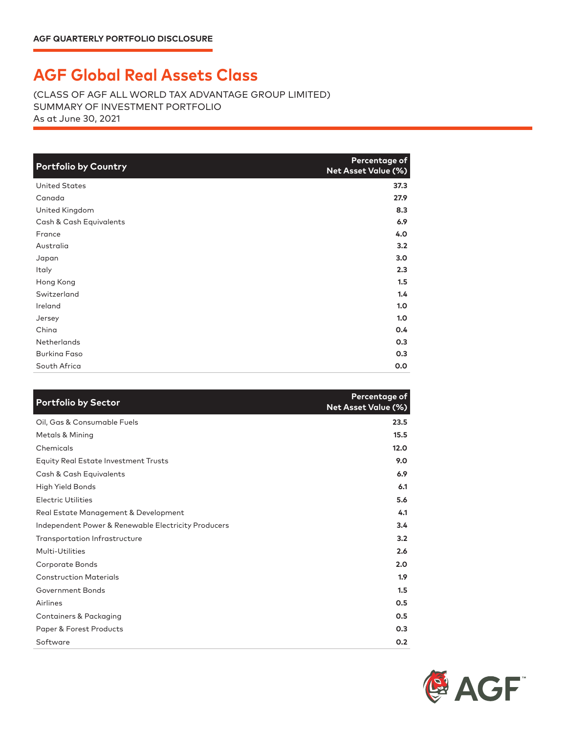## **AGF Global Real Assets Class**

(CLASS OF AGF ALL WORLD TAX ADVANTAGE GROUP LIMITED) SUMMARY OF INVESTMENT PORTFOLIO As at June 30, 2021

| <b>Portfolio by Country</b> | Percentage of<br>Net Asset Value (%) |
|-----------------------------|--------------------------------------|
| <b>United States</b>        | 37.3                                 |
| Canada                      | 27.9                                 |
| United Kingdom              | 8.3                                  |
| Cash & Cash Equivalents     | 6.9                                  |
| France                      | 4.0                                  |
| Australia                   | 3.2                                  |
| Japan                       | 3.0                                  |
| Italy                       | 2.3                                  |
| Hong Kong                   | 1.5                                  |
| Switzerland                 | 1.4                                  |
| Ireland                     | 1.0                                  |
| Jersey                      | 1.0                                  |
| China                       | 0.4                                  |
| <b>Netherlands</b>          | 0.3                                  |
| <b>Burking Faso</b>         | 0.3                                  |
| South Africa                | 0.0                                  |

| <b>Portfolio by Sector</b>                          | Percentage of<br>Net Asset Value (%) |
|-----------------------------------------------------|--------------------------------------|
| Oil, Gas & Consumable Fuels                         | 23.5                                 |
| <b>Metals &amp; Mining</b>                          | 15.5                                 |
| Chemicals                                           | 12.0                                 |
| <b>Equity Real Estate Investment Trusts</b>         | 9.0                                  |
| Cash & Cash Equivalents                             | 6.9                                  |
| High Yield Bonds                                    | 6.1                                  |
| <b>Electric Utilities</b>                           | 5.6                                  |
| Real Estate Management & Development                | 4.1                                  |
| Independent Power & Renewable Electricity Producers | 3.4                                  |
| Transportation Infrastructure                       | 3.2                                  |
| Multi-Utilities                                     | 2.6                                  |
| Corporate Bonds                                     | 2.0                                  |
| <b>Construction Materials</b>                       | 1.9                                  |
| Government Bonds                                    | 1.5                                  |
| Airlines                                            | 0.5                                  |
| <b>Containers &amp; Packaging</b>                   | 0.5                                  |
| Paper & Forest Products                             | 0.3                                  |
| Software                                            | 0.2                                  |

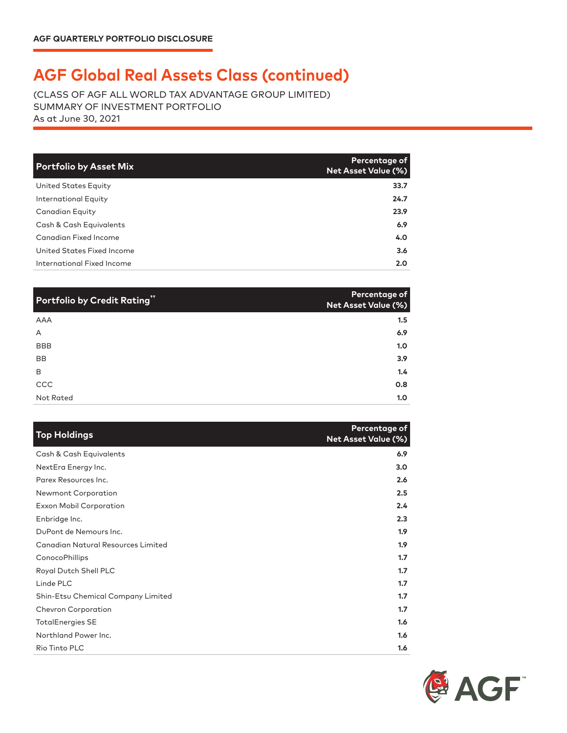## **AGF Global Real Assets Class (continued)**

(CLASS OF AGF ALL WORLD TAX ADVANTAGE GROUP LIMITED) SUMMARY OF INVESTMENT PORTFOLIO As at June 30, 2021

| <b>Portfolio by Asset Mix</b> | Percentage of<br><b>Net Asset Value (%)</b> |
|-------------------------------|---------------------------------------------|
| United States Equity          | 33.7                                        |
| International Equity          | 24.7                                        |
| <b>Canadian Equity</b>        | 23.9                                        |
| Cash & Cash Equivalents       | 6.9                                         |
| Canadian Fixed Income         | 4.0                                         |
| United States Fixed Income    | 3.6                                         |
| International Fixed Income    | 2.0                                         |

| Portfolio by Credit Rating" | Percentage of<br><b>Net Asset Value (%)</b> |
|-----------------------------|---------------------------------------------|
| <b>AAA</b>                  | 1.5                                         |
| A                           | 6.9                                         |
| BBB                         | 1.0                                         |
| <b>BB</b>                   | 3.9                                         |
| B                           | 1.4                                         |
| CCC                         | 0.8                                         |
| Not Rated                   | 1.0                                         |

| <b>Top Holdings</b>                       | Percentage of<br><b>Net Asset Value (%)</b> |
|-------------------------------------------|---------------------------------------------|
| Cash & Cash Equivalents                   | 6.9                                         |
| NextEra Energy Inc.                       | 3.0                                         |
| Parex Resources Inc.                      | 2.6                                         |
| Newmont Corporation                       | 2.5                                         |
| <b>Exxon Mobil Corporation</b>            | 2.4                                         |
| Enbridge Inc.                             | 2.3                                         |
| DuPont de Nemours Inc.                    | 1.9                                         |
| <b>Canadian Natural Resources Limited</b> | 1.9                                         |
| ConocoPhillips                            | 1.7                                         |
| Royal Dutch Shell PLC                     | 1.7                                         |
| Linde PLC                                 | 1.7                                         |
| Shin-Etsu Chemical Company Limited        | 1.7                                         |
| <b>Chevron Corporation</b>                | 1.7                                         |
| <b>TotalEnergies SE</b>                   | 1.6                                         |
| Northland Power Inc.                      | 1.6                                         |
| Rio Tinto PLC                             | 1.6                                         |